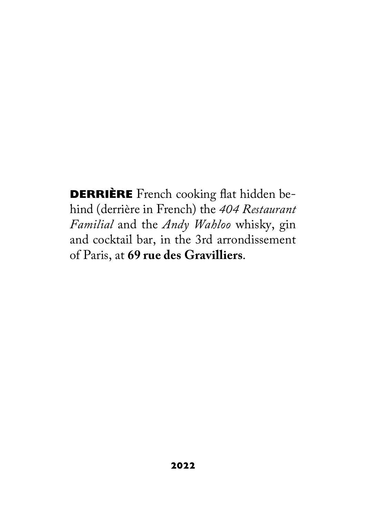**DERRIÈRE** French cooking flat hidden behind (derrière in French) the *404 Restaurant Familial* and the *Andy Wahloo* whisky, gin and cocktail bar, in the 3rd arrondissement of Paris, at **69 rue des Gravilliers**.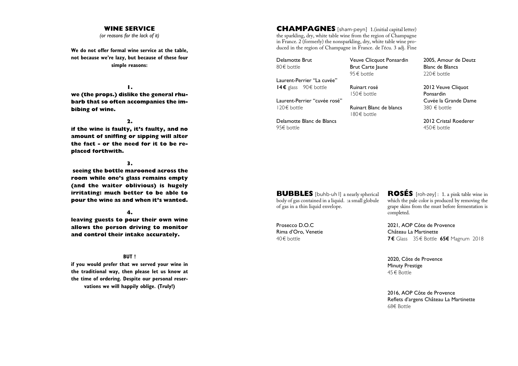#### **WINE SERVICE**

*(or reasons for the lack of it)*

**We do not offer formal wine service at the table, not because we're lazy, but because of these four simple reasons:**

**1.** 

**we (the props.) dislike the general rhubarb that so often accompanies the imbibing of wine.**

**2.** 

**if the wine is faulty, it's faulty, and no amount of sniffing or sipping will alter the fact - or the need for it to be replaced forthwith.**

**3.**

 **seeing the bottle marooned across the room while one's glass remains empty (and the waiter oblivious) is hugely irritating: much better to be able to pour the wine as and when it's wanted.**

**4.** 

**leaving guests to pour their own wine allows the person driving to monitor and control their intake accurately.** 

#### **BUT !**

**if you would prefer that we served your wine in the traditional way, then please let us know at the time of ordering. Despite our personal reservations we will happily oblige. (Truly!)**

**CHAMPAGNES** [sham-peyn] 1.(initial capital letter) the sparkling, dry, white table wine from the region of Champagne in France. 2 (formerly) the nonsparkling, dry, white table wine produced in the region of Champagne in France. de l'écu. 3 adj. Fine

Delamotte Brut 80€ bottle

120€ bottle

95€ bottle

Laurent-Perrier "La cuvée" **14€** glass 90€ bottle

Laurent-Perrier "cuvée rosé"

Delamotte Blanc de Blancs

Veuve Clicquot Ponsardin **Brut Carte laune** 95€ bottle

Ruinart rosé

150€ bottle

Ruinart Blanc de blancs 180€ bottle

220€ bottle 2012 Veuve Cliquot

2005, Amour de Deutz Blanc de Blancs

Ponsardin Cuvée la Grande Dame 380 € bottle

2012 Cristal Roederer 450€ bottle

**BUBBLES** [buhb-uh l] a nearly spherical body of gas contained in a liquid. :a small globule of gas in a thin liquid envelope.

Prosecco D.O.C Rima d'Oro, Venetie 40€ bottle

**ROSÉS** [roh-zey] : 1. a pink table wine in which the pale color is produced by removing the grape skins from the must before fermentation is completed.

2021, AOP Côte de Provence Château La Martinette **7€** Glass 35€ Bottle **65€** Magnum 2018

2020, Côte de Provence Minuty Prestige 45€ Bottle

2016, AOP Côte de Provence Reflets d'argens Château La Martinette 68€ Bottle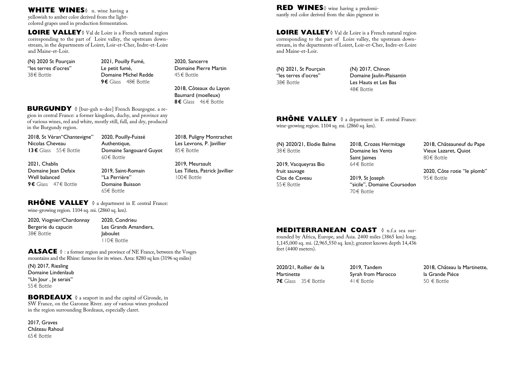yellowish to amber color derived from the lightcolored grapes used in production fermentation.

**LOIRE VALLEY**◊ Val de Loire is a French natural region corresponding to the part of Loire valley, the upstream downstream, in the departments of Loiret, Loir-et-Cher, Indre-et-Loire and Maine-et-Loir.

(N) 2020 St Pourçain "les terres d'ocres" 38€ Bottle

2021, Pouilly Fumé, Le petit fumé, Domaine Michel Redde **9€** Glass 48€ Bottle

2020, Sancerre Domaine Pierre Martin 45€ Bottle

2018, Côteaux du Layon Baumard (moelleux) **8€** Glass 46€ Bottle

**BURGUNDY** ◊ [bur-guh n-dee] French Bourgogne. a region in central France: a former kingdom, duchy, and province any of various wines, red and white, mostly still, full, and dry, produced in the Burgundy region.

2018, St Véran"Chantevigne" Nicolas Cheveau **13€** Glass 55€ Bottle 2021, Chablis Domaine Iean Defaix Well balanced **9€** Glass 47€ Bottle 2020, Pouilly-Fuissé Authentique, Domaine Sangouard Guyot 60€ Bottle 2019, Saint-Romain "La Perrière" Domaine Buisson 65€ Bottle

2018, Puligny Montrachet Les Levrons, P. Javillier 85€ Bottle

2019, Meursault Les Tillets, Patrick Javillier 100€ Bottle

# **RHÔNE VALLEY** ♦ a department in E central France:

wine-growing region. 1104 sq. mi. (2860 sq. km).

2020, Viognier/Chardonnay Bergerie du capucin 38€ Bottle

2020, Condrieu Les Grands Amandiers, Jaboulet 110€ Bottle

**ALSACE** ◊ : a former region and province of NE France, between the Vosges mountains and the Rhine: famous for its wines. Area: 8280 sq km (3196 sq miles)

(N) 2017, Riesling Domaine Lindenlaub "Un lour , le serais" 55€ Bottle

**BORDEAUX** ♦ a seaport in and the capital of Gironde, in SW France, on the Garonne River. any of various wines produced in the region surrounding Bordeaux, especially claret.

2017, Graves Château Rahoul 65€ Bottle

**RED WINES** wine having a predomi-<br> **RED WINES** wine having a predomi-<br> **RED WINES** wine having a predomi-<br>
nantly red color derived from the skin pigment in

**LOIRE VALLEY**◊ Val de Loire is a French natural region corresponding to the part of Loire valley, the upstream downstream, in the departments of Loiret, Loir-et-Cher, Indre-et-Loire and Maine-et-Loir.

(N) 2021, St Pourçain "les terres d'ocres" 38€ Bottle

(N) 2017, Chinon Domaine laulin-Plaisantin Les Hauts et Les Bas 48€ Bottle

**RHÔNE VALLEY** ♦ a department in E central France: wine-growing region. 1104 sq. mi. (2860 sq. km).

(N) 2020/21, Elodie Balme 38€ Bottle

2019, Vacqueyras Bio fruit sauvage Clos de Caveau 55€ Bottle

2018, Crozes Hermitage Domaine les Vents Saint Jaimes 64€ Bottle 2019, St Joseph

70€ Bottle

"sicile", Domaine Coursodon

2018, Châteauneuf du Pape Vieux Lazaret, Quiot 80€ Bottle

2020, Côte rotie "le plomb" 95€ Bottle

**MEDITERRANEAN COAST** ◊ n.f.a sea sur-

rounded by Africa, Europe, and Asia. 2400 miles (3865 km) long; 1,145,000 sq. mi. (2,965,550 sq. km); greatest known depth 14,436 feet (4400 meters).

2020/21, Rollier de la **Martinette 7€** Glass 35€ Bottle 2019, Tandem Syrah from Marocco 41€ Bottle

2018, Château la Martinette, la Grande Piéce 50 € Bottle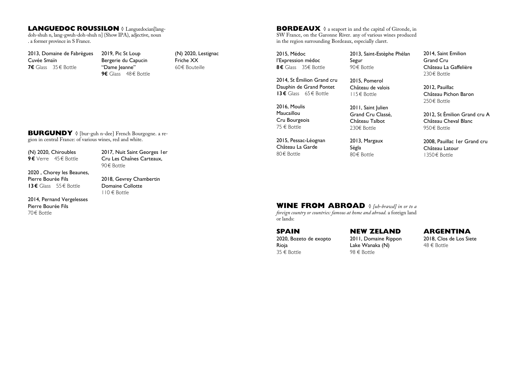#### **LANGUEDOC ROUSSILON**  $\Diamond$  Languedocian[lang-

doh-shuh n, lang-gwuh-doh-shuh n] (Show IPA), adjective, noun . a former province in S France.

2013, Domaine de Fabrègues Cuvée Smaïn **7€** Glass 35€ Bottle

2019, Pic St Loup Bergerie du Capucin "Dame leanne" **9€** Glass 48€ Bottle (N) 2020, Lestignac Friche XX 60€ Bouteille

**BORDEAUX** ♦ a seaport in and the capital of Gironde, in SW France, on the Garonne River. any of various wines produced in the region surrounding Bordeaux, especially claret.

2015, Médoc l'Expression médoc **8€** Glass 35€ Bottle

2014, St Émilion Grand cru Dauphin de Grand Pontet **13€** Glass 65€ Bottle

2016, Moulis Maucaillou Cru Bourgeois 75 € Bottle

2015, Pessac-Léognan Château La Garde 80€ Bottle

2013, Saint-Estèphe Phélan Segur 90€ Bottle

2015, Pomerol Château de valois 115€ Bottle

> 2011, Saint Julien Grand Cru Classé, Château Talbot 230€ Bottle

2013, Margaux Ségla 80€ Bottle

2014, Saint Emilion Grand Cru Château La Gaffelière 230€ Bottle

2012, Pauillac Château Pichon Baron 250€ Bottle

2012, St Émilion Grand cru A Château Cheval Blanc 950€ Bottle

2008, Pauillac 1er Grand cru Château Latour 1350€ Bottle

#### **BURGUNDY** ◊ [bur-guh n-dee] French Bourgogne. a region in central France: of various wines, red and white.

(N) 2020, Chiroubles **9€** Verre 45€ Bottle

Cru Les Chaînes Carteaux, 90€ Bottle

2020 , Chorey les Beaunes, Pierre Bourée Fils **13€** Glass 55€ Bottle

2018, Gevrey Chambertin Domaine Collotte

2014, Pernand Vergelesses Pierre Bourée Fils 70€ Bottle

# 110 € Bottle

2017, Nuit Saint Georges 1er

**WINE FROM ABROAD** ◊ *[uh-brawd] in or to a* 

*foreign country or countries: famous at home and abroad.* a foreign land or lands:

**SPAIN** 2020, Bozeto de exopto

Rioja 35 € Bottle **NEW ZELAND**

2011, Domaine Rippon Lake Wanaka (N) 98 € Bottle

**ARGENTINA**

2018, Clos de Los Siete 48 € Bottle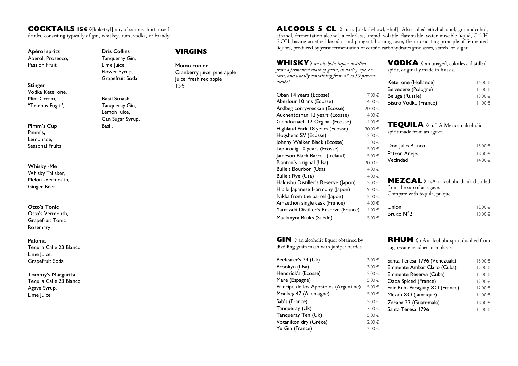#### **COCKTAILS 15€** ◊[kok-teyl] any of various short mixed drinks, consisting typically of gin, whiskey, rum, vodka, or brandy

Apérol, Prosecco, Passion Fruit

**Stinger** Vodka Ketel one, Mint Cream, "Tempus Fugit",

**Pimm's Cup** Pimm's, Lemonade, Seasonal Fruits

**Whisky -Me** Whisky Talisker, Melon -Vermouth, Ginger Beer

**Otto's Tonic** Otto's Vermouth, Grapefruit Tonic Rosemary

**Paloma** Tequila Calle 23 Blanco, Lime Juice, Grapefruit Soda

**Tommy's Margarita** Tequila Calle 23 Blanco, Agave Syrup, Lime Juice

**Dris Collins** Tanqueray Gin, Lime Juice, Flower Syrup, Grapefruit Soda

**Basil Smash** Tanqueray Gin, Lemon Juice, Can Sugar Syrup, Basil,

# **VIRGINS**

**Momo cooler** Cranberry juice, pine apple juice, fresh red apple 13€

**ALCOOLS 5 CL**  $\Diamond$  n.m. [al-kuh-hawl, -hol] Also called ethyl alcohol, grain alcohol, ethanol, fermentation alcohol. a colorless, limpid, volatile, flammable, water-miscible liquid, C 2 H 5 OH, having an etherlike odor and pungent, burning taste, the intoxicating principle of fermented Apérol spritz **Example 2015** Dris Collins **Example 2016** VIRGINS liquors, produced by yeast fermentation of certain carbohydrates gmolasses, starch, or sugar

> **WHISKY**◊ *an alcoholic liquor distilled from a fermented mash of grain, as barley, rye, or corn, and usually containing from 43 to 50 percent alcohol.*

| Oban 14 years (Ecosse)                | 17,00 € |
|---------------------------------------|---------|
| Aberlour 10 ans (Ecosse)              | 14,00 € |
| Ardbeg corryvreckan (Ecosse)          | 20,00 € |
| Auchentoshan 12 years (Ecosse)        | 14,00 € |
| Glendornach 12 Orginal (Ecosse)       | 14,00 € |
| Highland Park 18 years (Ecosse)       | 30,00 € |
| Hogshead SV (Ecosse)                  | 15,00 € |
| Johnny Walker Black (Ecosse)          | 13,00 € |
| Laphroaig 10 years (Ecosse)           | 15,00 € |
| Jameson Black Barrel (Ireland)        | 15,00 € |
| Blanton's original (Usa)              | 20,00 € |
| Bulleit Bourbon (Usa)                 | 14,00 € |
| Bulleit Rye (Usa)                     | 14,00 € |
| Hakushu Distiller's Reserve (Japon)   | 15,00 € |
| Hibiki Japanese Harmony (Japon)       | 19,00 € |
| Nikka from the barrel (Japon)         | 15,00 € |
| Amaethon single cask (France)         | 14,00 € |
| Yamazaki Distiller's Reserve (France) | 14,00 € |
| Mackmyra Bruks (Suéde)                | 15,00 € |
|                                       |         |

**GIN**  $\Diamond$  an alcoholic liquor obtained by distilling grain mash with juniper berries

| Beefeater's 24 (Uk)                   | 13,00 € |
|---------------------------------------|---------|
| Brookyn (Usa)                         | 13,00 € |
| Hendrick's (Ecosse)                   | 15,00 € |
| Mare (Espagne)                        | 15.00€  |
| Principe de los Apostoles (Argentine) | 15,00 € |
| Monkey 47 (Allemagne)                 | 15,00 € |
| Sab's (France)                        | 15.00€  |
| Tanqueray (Uk)                        | 13,00 € |
| Tangueray Ten (Uk)                    | 15,00 € |
| Votanikon dry (Grèce)                 | 12,00 € |
| Yu Gin (France)                       | 12.00 € |

**VODKA** ◊ an unaged, colorless, distilled spirit, originally made in Russia.

| Ketel one (Hollande)  | $14.00 \in$ |
|-----------------------|-------------|
| Belvedere (Pologne)   | $15.00 \in$ |
| Beluga (Russie)       | $13.00 \in$ |
| Bistro Vodka (France) | $14.00 \in$ |

| <b>TEQUILA</b> $\Diamond$ n.f. A Mexican alcoholic<br>spirit made from an agave.                                     |         |  |
|----------------------------------------------------------------------------------------------------------------------|---------|--|
| Don Julio Blanco                                                                                                     | 15.00€  |  |
| Patron Anejo                                                                                                         | 18,00€  |  |
| Vecindad                                                                                                             | 14.00€  |  |
| <b>MEZCAL</b> $\Diamond$ n.An alcoholic drink distilled<br>from the sap of an agave.<br>Compare with tequila, pulque |         |  |
| Union                                                                                                                | 12.00 € |  |
| Bruxo N°2                                                                                                            | 18.00€  |  |

**RHUM** ♦ nAn alcoholic spirit distilled from sugar-cane residues or molasses.

| Santa Teresa 1796 (Venezuala) | 15,00 € |
|-------------------------------|---------|
| Eminente Ambar Claro (Cuba)   | 12.00 € |
| Eminente Reserva (Cuba)       | 15.00 € |
| Oaoa Spiced (France)          | 12.00 € |
| Fair Rum Paraguay XO (France) | 12.00 € |
| Mezan XO (Jamaique)           | 14.00 € |
| Zacapa 23 (Guatemala)         | 18.00 € |
| Santa Teresa 1796             | 15.00€  |
|                               |         |
|                               |         |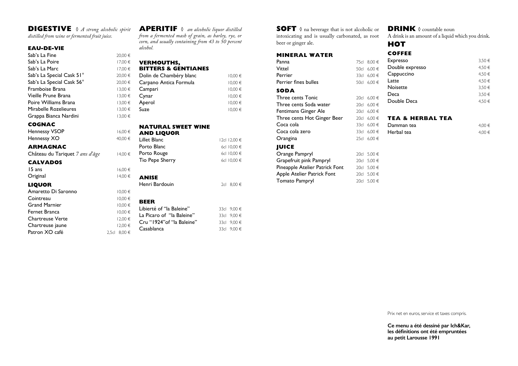### **DIGESTIVE** ◊ *A strong alcoholic spirit*

*distilled from wine or fermented fruit juice.*

#### **EAU-DE-VIE**

| Sab's La Fine             | 20,00 € |
|---------------------------|---------|
| Sab's La Poire            | 17.00€  |
| Sab's La Marc             | 17,00 € |
| Sab's La Special Cask 51° | 20,00 € |
| Sab's La Special Cask 56° | 20.00 € |
| Framboise Brana           | 13,00 € |
| Vieille Prune Brana       | 13,00 € |
| Poire Williams Brana      | 13.00€  |
| Mirabelle Rozelieures     | 13.00€  |
| Grappa Bianca Nardini     | 13.00€  |

#### **COGNAC**

Hennessy VSOP Hennessy XO

#### **ARMAGNAC**

Château du Tariquet 7 ans d'âge

#### **CALVADOS**

 $15$  ans Original

#### **LIQUOR**

Amaretto Di Saronno Cointreau Grand Marnier Fernet Branca Chartreuse Verte Chartreuse jaune Patron XO café 2,5c **APERITIF** ◊ *an alcoholic liquor distilled from a fermented mash of grain, as barley, rye, or corn, and usually containing from 43 to 50 percent alcohol.*

# **VERMOUTHS,**

#### **BITTERS & GENTIANES**

| 0€   | Dolin de Chambéry blanc | 10,00€      |
|------|-------------------------|-------------|
| 0€   | Carpano Antica Formula  | 10,00€      |
| )0 € | Campari                 | 10,00€      |
| 9 00 | Cynar                   | $10,00 \in$ |
| 0€   | Aperol                  | $10,00 \in$ |
| 0€   | Suze                    | 10,00€      |
| ገ∩ ⊆ |                         |             |

| 16,00€      | NATURAL SWEET WINE<br><b>AND LIQUOR</b> |                            |
|-------------|-----------------------------------------|----------------------------|
| 40,00 €     | Lillet Blanc                            | 12cl 12,00 €               |
|             | Porto Blanc                             | 6cl 10,00 €                |
| 14,00 €     | Porto Rouge                             | 6cl 10,00 €                |
|             | Tio Pepe Sherry                         | 6cl 10,00 €                |
| 16,00€      |                                         |                            |
| 14.00€      | <b>ANISE</b>                            |                            |
|             | Henri Bardouin                          | 8,00 €<br>$2$ cl           |
| 10,00€      |                                         |                            |
| 10,00€      | <b>BEER</b>                             |                            |
| 10,00€      | Libierté of "la Baleine"                | 9,00 €<br>33cl             |
| 10,00€      | La Picaro of "la Baleine"               | 9,00 €<br>33 <sub>cl</sub> |
| 12,00 €     | Cru "1924" of "la Baleine"              |                            |
| 12,00 €     |                                         | 9.00 €<br>33 <sub>cl</sub> |
| 8,00 €<br>1 | Casablanca                              | 9.00 €<br>33 <sub>cl</sub> |

**SOFT** ◊ na beverage that is not alcoholic or intoxicating and is usually carbonated, as root beer or ginger ale.

#### **MINERAL WATER**

| Panna                          | 75cl | $0.00 \in$ |
|--------------------------------|------|------------|
| Vittel                         | 50cl | $6,00 \in$ |
| Perrier                        | 33cl | $6,00 \in$ |
| Perrier fines bulles           | 50cl | $6.00 \in$ |
| SODA                           |      |            |
| <b>Three cents Tonic</b>       | 20cl | $6,00 \in$ |
| Three cents Soda water         | 20cl | $6,00 \in$ |
| Fentimans Ginger Ale           | 20cl | $6,00 \in$ |
| Three cents Hot Ginger Beer    | 20c  | $6,00 \in$ |
| Coca cola                      | 33cl | $6,00 \in$ |
| Coca cola zero                 | 33cl | $6,00 \in$ |
| Orangina                       | 25c  | $6,00 \in$ |
| <b>JUICE</b>                   |      |            |
| Orange Pampryl                 | 20c  | 5,00 €     |
| Grapefruit pink Pampryl        | 20c  | 5,00 €     |
| Pineapple Atelier Patrick Font | 20c  | 5,00 €     |
| Apple Atelier Patrick Font     | 20cl | 5,00 €     |
| <b>Tomato Pampryl</b>          | 20c  | 5,00 €     |

## **DRINK** ◊ countable noun A drink is an amount of a liquid which you drink.

# **HOT COFFEE** Expresso 3,50  $\in$ Double expresso  $4,50 \in$ Cappuccino  $4,50 \in$ Latte  $4.50 \in$ Noisette 3,50  $\epsilon$ Deca 3,50  $\in$ Double Deca  $4,50 \in$ **TEA & HERBAL TEA**

| )€ | Damman tea | 4.00 € |
|----|------------|--------|
| )€ | Herbal tea | 4.00 € |

Prix net en euros, service et taxes compris.

**Ce menu a été dessiné par Ich&Kar, les définitions ont été empruntées au petit Larousse 1991**